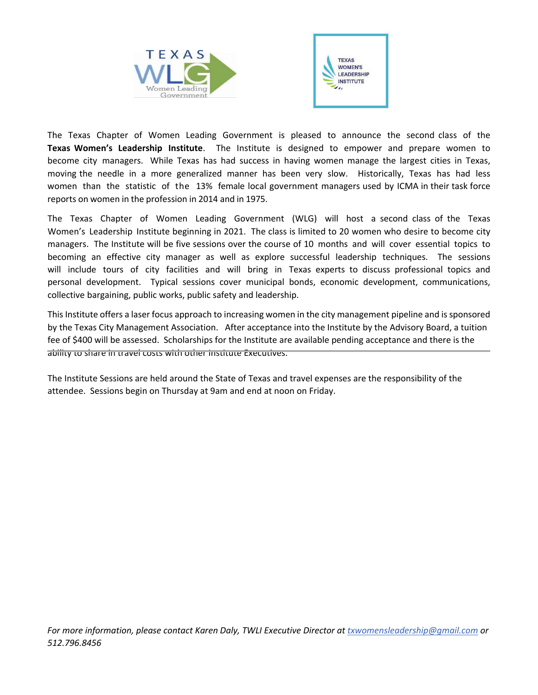



The Texas Chapter of Women Leading Government is pleased to announce the second class of the **Texas Women's Leadership Institute**. The Institute is designed to empower and prepare women to become city managers. While Texas has had success in having women manage the largest cities in Texas, moving the needle in a more generalized manner has been very slow. Historically, Texas has had less women than the statistic of the 13% female local government managers used by ICMA in their task force reports on women in the profession in 2014 and in 1975.

The Texas Chapter of Women Leading Government (WLG) will host a second class of the Texas Women's Leadership Institute beginning in 2021. The class is limited to 20 women who desire to become city managers. The Institute will be five sessions over the course of 10 months and will cover essential topics to becoming an effective city manager as well as explore successful leadership techniques. The sessions will include tours of city facilities and will bring in Texas experts to discuss professional topics and personal development. Typical sessions cover municipal bonds, economic development, communications, collective bargaining, public works, public safety and leadership.

|  |  |  |                                                                                                           |  |  |  |  |  | u @ o o o o u contractor o u contractor o u |  |  |
|--|--|--|-----------------------------------------------------------------------------------------------------------|--|--|--|--|--|---------------------------------------------|--|--|
|  |  |  | $\sim$ 100 $\sim$ 100 $\sim$ 100 $\sim$ 100 $\sim$ 100 $\sim$ 100 $\sim$ 100 $\sim$ 100 $\sim$ 100 $\sim$ |  |  |  |  |  |                                             |  |  |

This Institute offers a laser focus approach to increasing women in the city management pipeline and is sponsored by the Texas City Management Association. After acceptance into the Institute by the Advisory Board, a tuition fee of \$400 will be assessed. Scholarships for the Institute are available pending acceptance and there is the

ility to share in travel costs with other Institute Executives Due to the unknown nature of COVID-19, the schedule and locations will be determined based on the availability of a vaccine.  $\degree$ 

ďƵƐŝŶĞƐƐŽŶ&ƌŝĚĂLJ͕KĐƚŽďĞƌϯϬ͕ϮϬϭϬ͘&*or more information, please contact Karen Daly, TWLI Executive Director at txwomensleadership@gmail.com or 512.796.8456*